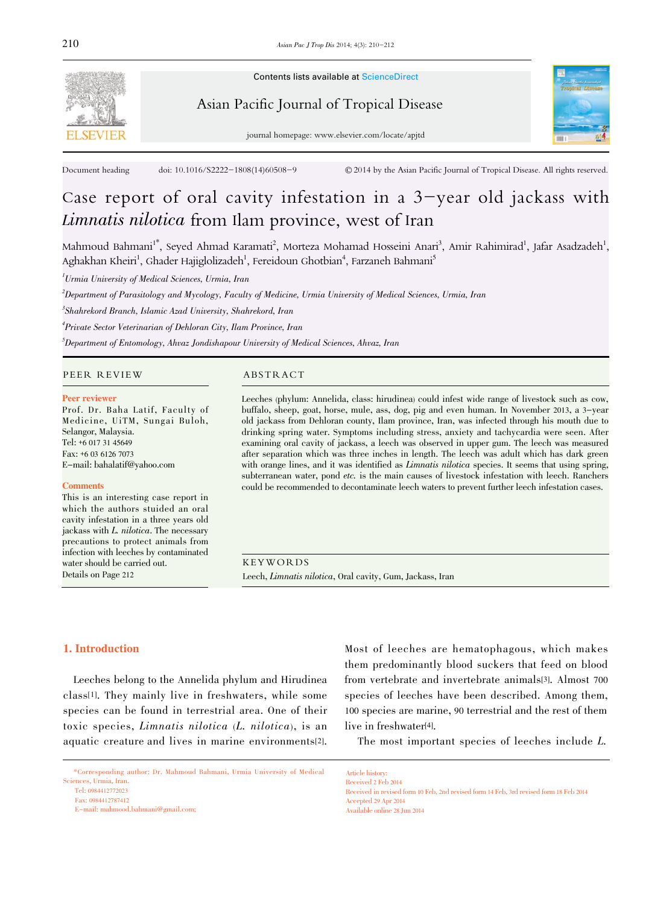

Contents lists available at ScienceDirect

# Asian Pacific Journal of Tropical Disease



journal homepage: www.elsevier.com/locate/apjtd

Document heading doi: 10.1016/S2222-1808(14)60508-9 © 2014 by the Asian Pacific Journal of Tropical Disease. All rights reserved.

# Case report of oral cavity infestation in a 3-year old jackass with Limnatis nilotica from Ilam province, west of Iran

Mahmoud Bahmani<sup>1\*</sup>, Seyed Ahmad Karamati<sup>2</sup>, Morteza Mohamad Hosseini Anari<sup>3</sup>, Amir Rahimirad<sup>1</sup>, Jafar Asadzadeh<sup>1</sup>, Aghakhan Kheiri<sup>1</sup>, Ghader Hajiglolizadeh<sup>1</sup>, Fereidoun Ghotbian<sup>4</sup>, Farzaneh Bahmani<sup>s</sup>

 $^{\prime}$ Urmia University of Medical Sciences, Urmia, Iran

2 Department of Parasitology and Mycology, Faculty of Medicine, Urmia University of Medical Sciences, Urmia, Iran

 $\delta$ Shahrekord Branch, Islamic Azad University, Shahrekord, Iran

4 Private Sector Veterinarian of Dehloran City, Ilam Province, Iran

 $^5$ Department of Entomology, Ahvaz Jondishapour University of Medical Sciences, Ahvaz, Iran

#### PEER REVIEW ABSTRACT

#### Peer reviewer

Prof. Dr. Baha Latif, Faculty of Medicine, UiTM, Sungai Buloh, Selangor, Malaysia. Tel: +6 017 31 45649 Fax: +6 03 6126 7073 E-mail: bahalatif@yahoo.com

#### **Comments**

This is an interesting case report in which the authors stuided an oral cavity infestation in a three years old jackass with L. nilotica. The necessary precautions to protect animals from infection with leeches by contaminated water should be carried out. Details on Page 212

Leeches (phylum: Annelida, class: hirudinea) could infest wide range of livestock such as cow, buffalo, sheep, goat, horse, mule, ass, dog, pig and even human. In November 2013, a 3-year old jackass from Dehloran county, Ilam province, Iran, was infected through his mouth due to drinking spring water. Symptoms including stress, anxiety and tachycardia were seen. After examining oral cavity of jackass, a leech was observed in upper gum. The leech was measured after separation which was three inches in length. The leech was adult which has dark green with orange lines, and it was identified as *Limnatis nilotica* species. It seems that using spring, subterranean water, pond etc. is the main causes of livestock infestation with leech. Ranchers could be recommended to decontaminate leech waters to prevent further leech infestation cases.

KEYWORDS Leech, Limnatis nilotica, Oral cavity, Gum, Jackass, Iran

Article history:

#### 1. Introduction

Leeches belong to the Annelida phylum and Hirudinea class[1]. They mainly live in freshwaters, while some species can be found in terrestrial area. One of their toxic species, Limnatis nilotica (L. nilotica), is an aquatic creature and lives in marine environments[2].

E-mail: mahmood.bahmani@gmail.com;

Most of leeches are hematophagous, which makes them predominantly blood suckers that feed on blood from vertebrate and invertebrate animals[3]. Almost 700 species of leeches have been described. Among them, 100 species are marine, 90 terrestrial and the rest of them live in freshwater[4].

The most important species of leeches include L.

Received 2 Feb 2014 Received in revised form 10 Feb, 2nd revised form 14 Feb, 3rd revised form 18 Feb 2014 Accepted 29 Apr 2014 Available online 28 Jun 2014

<sup>\*</sup>Corresponding author: Dr. Mahmoud Bahmani, Urmia University of Medical Sciences, Urmia, Iran.

Tel: 0984412772023

Fax: 0984412787412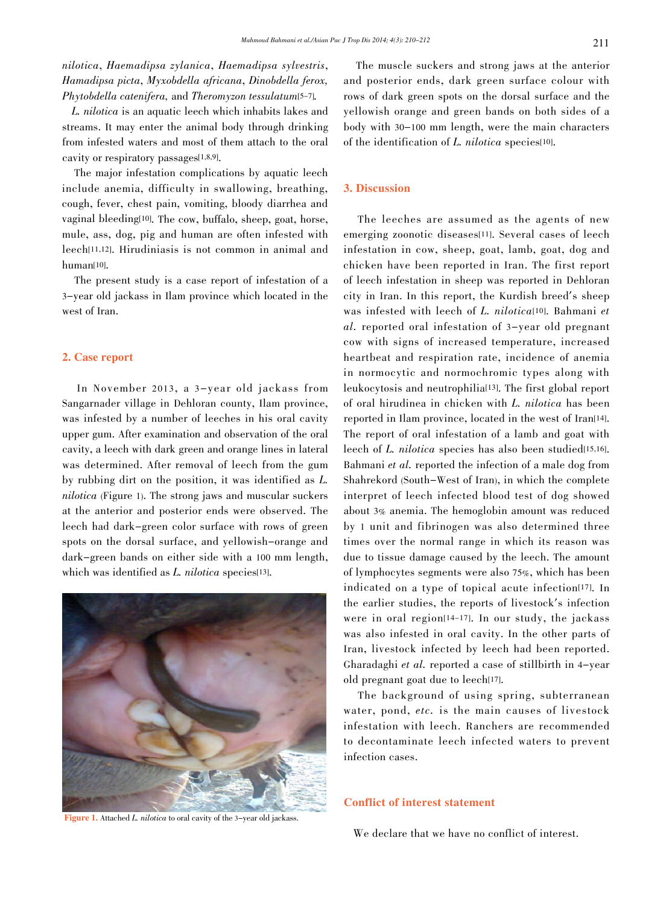nilotica, Haemadipsa zylanica, Haemadipsa sylvestris, Hamadipsa picta, Myxobdella africana, Dinobdella ferox, Phytobdella catenifera, and Theromyzon tessulatum[5-7].

 L. nilotica is an aquatic leech which inhabits lakes and streams. It may enter the animal body through drinking from infested waters and most of them attach to the oral cavity or respiratory passages[1,8,9].

The major infestation complications by aquatic leech include anemia, difficulty in swallowing, breathing, cough, fever, chest pain, vomiting, bloody diarrhea and vaginal bleeding[10]. The cow, buffalo, sheep, goat, horse, mule, ass, dog, pig and human are often infested with leech[11,12]. Hirudiniasis is not common in animal and human[10].

The present study is a case report of infestation of a 3-year old jackass in Ilam province which located in the west of Iran.

#### 2. Case report

In November 2013, a 3-year old jackass from Sangarnader village in Dehloran county, Ilam province, was infested by a number of leeches in his oral cavity upper gum. After examination and observation of the oral cavity, a leech with dark green and orange lines in lateral was determined. After removal of leech from the gum by rubbing dirt on the position, it was identified as L. nilotica (Figure 1). The strong jaws and muscular suckers at the anterior and posterior ends were observed. The leech had dark-green color surface with rows of green spots on the dorsal surface, and yellowish-orange and dark-green bands on either side with a 100 mm length, which was identified as L. nilotica species[13].



Figure 1. Attached L. nilotica to oral cavity of the 3-year old jackass.

The muscle suckers and strong jaws at the anterior and posterior ends, dark green surface colour with rows of dark green spots on the dorsal surface and the yellowish orange and green bands on both sides of a body with <sup>30</sup>-<sup>100</sup> mm length, were the main characters of the identification of L. nilotica species[10].

# 3. Discussion

The leeches are assumed as the agents of new emerging zoonotic diseases<sup>[11]</sup>. Several cases of leech infestation in cow, sheep, goat, lamb, goat, dog and chicken have been reported in Iran. The first report of leech infestation in sheep was reported in Dehloran city in Iran. In this report, the Kurdish breed's sheep was infested with leech of L. nilotica<sup>[10]</sup>. Bahmani et al. reported oral infestation of 3-year old pregnant cow with signs of increased temperature, increased heartbeat and respiration rate, incidence of anemia in normocytic and normochromic types along with leukocytosis and neutrophilia[13]. The first global report of oral hirudinea in chicken with L. nilotica has been reported in Ilam province, located in the west of Iran<sup>[14]</sup>. The report of oral infestation of a lamb and goat with leech of L. nilotica species has also been studied[15,16]. Bahmani et al. reported the infection of a male dog from Shahrekord (South-West of Iran), in which the complete interpret of leech infected blood test of dog showed about 3% anemia. The hemoglobin amount was reduced by 1 unit and fibrinogen was also determined three times over the normal range in which its reason was due to tissue damage caused by the leech. The amount of lymphocytes segments were also 75%, which has been indicated on a type of topical acute infection[17]. In the earlier studies, the reports of livestock's infection were in oral region[14-17]. In our study, the jackass was also infested in oral cavity. In the other parts of Iran, livestock infected by leech had been reported. Gharadaghi et al. reported a case of stillbirth in 4-year old pregnant goat due to leech[17].

The background of using spring, subterranean water, pond, etc. is the main causes of livestock infestation with leech. Ranchers are recommended to decontaminate leech infected waters to prevent infection cases.

# Conflict of interest statement

We declare that we have no conflict of interest.